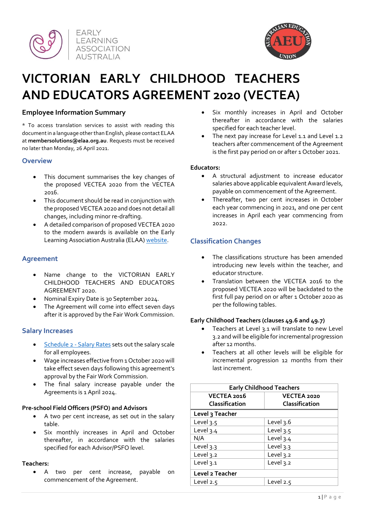



# **VICTORIAN EARLY CHILDHOOD TEACHERS AND EDUCATORS AGREEMENT 2020 (VECTEA)**

# **Employee Information Summary**

\* To access translation services to assist with reading this document in a language other than English, please contact ELAA at **membersolutions@elaa.org.au**. Requests must be received no later than Monday, 26 April 2021.

#### **Overview**

- This document summarises the key changes of the proposed VECTEA 2020 from the VECTEA 2016.
- This document should be read in conjunction with the proposed VECTEA 2020 and does not detail all changes, including minor re-drafting.
- A detailed comparison of proposed VECTEA 2020 to the modern awards is available on the Early Learning Association Australia (ELAA[\) website.](https://elaa.org.au/vectea-renegotiation/)

# **Agreement**

- Name change to the VICTORIAN EARLY CHILDHOOD TEACHERS AND EDUCATORS AGREEMENT 2020.
- Nominal Expiry Date is 30 September 2024.
- The Agreement will come into effect seven days after it is approved by the Fair Work Commission.

# **Salary Increases**

- Schedule 2 [Salary Rates](https://elaa.org.au/vectea-renegotiation/) sets out the salary scale for all employees.
- Wage increases effective from 1 October 2020 will take effect seven days following this agreement's approval by the Fair Work Commission.
- The final salary increase payable under the Agreements is 1 April 2024.

#### **Pre-school Field Officers (PSFO) and Advisors**

- A two per cent increase, as set out in the salary table.
- Six monthly increases in April and October thereafter, in accordance with the salaries specified for each Advisor/PSFO level.

#### **Teachers:**

• A two per cent increase, payable on commencement of the Agreement.

- Six monthly increases in April and October thereafter in accordance with the salaries specified for each teacher level.
- The next pay increase for Level 1.1 and Level 1.2 teachers after commencement of the Agreement is the first pay period on or after 1 October 2021.

## **Educators:**

- A structural adjustment to increase educator salaries above applicable equivalent Award levels, payable on commencement of the Agreement.
- Thereafter, two per cent increases in October each year commencing in 2021, and one per cent increases in April each year commencing from 2022.

# **Classification Changes**

- The classifications structure has been amended introducing new levels within the teacher, and educator structure.
- Translation between the VECTEA 2016 to the proposed VECTEA 2020 will be backdated to the first full pay period on or after 1 October 2020 as per the following tables.

# **Early Childhood Teachers (clauses 49.6 and 49.7)**

- Teachers at Level 3.1 will translate to new Level 3.2 and will be eligible for incremental progression after 12 months.
- Teachers at all other levels will be eligible for incremental progression 12 months from their last increment.

| <b>Early Childhood Teachers</b> |                               |  |
|---------------------------------|-------------------------------|--|
| VECTEA 2016<br>Classification   | VECTEA 2020<br>Classification |  |
| Level 3 Teacher                 |                               |  |
| Level 3.5                       | Level 3.6                     |  |
| Level $3.4$                     | Level 3.5                     |  |
| N/A                             | Level 3.4                     |  |
| Level 3.3                       | Level 3.3                     |  |
| Level 3.2                       | Level 3.2                     |  |
| Level 3.1                       | Level 3.2                     |  |
| Level 2 Teacher                 |                               |  |
| Level $2.5$                     | Level 2.5                     |  |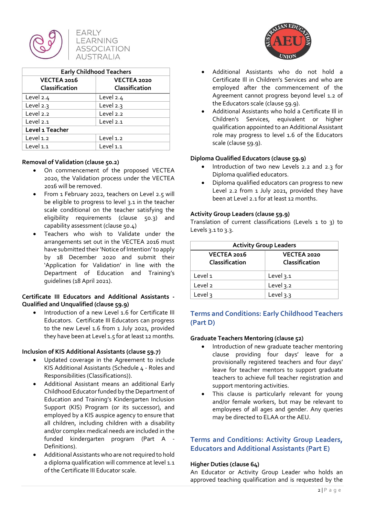

# **EARLY** LEARNING **ASSOCIATION AUSTRALIA**

| <b>Early Childhood Teachers</b> |                |  |
|---------------------------------|----------------|--|
| VECTEA 2016                     | VECTEA 2020    |  |
| Classification                  | Classification |  |
| Level 2.4                       | Level 2.4      |  |
| Level 2.3                       | Level 2.3      |  |
| Level 2.2                       | Level 2.2      |  |
| Level 2.1                       | Level 2.1      |  |
| Level 1 Teacher                 |                |  |
| Level 1.2                       | Level 1.2      |  |
| Level 1.1                       | Level 1.1      |  |

## **Removal of Validation (clause 50.2)**

- On commencement of the proposed VECTEA 2020, the Validation process under the VECTEA 2016 will be removed.
- From 1 February 2022, teachers on Level 2.5 will be eligible to progress to level 3.1 in the teacher scale conditional on the teacher satisfying the eligibility requirements (clause 50.3) and capability assessment (clause 50.4)
- Teachers who wish to Validate under the arrangements set out in the VECTEA 2016 must have submitted their 'Notice of Intention' to apply by 18 December 2020 and submit their 'Application for Validation' in line with the Department of Education and Training's guidelines (18 April 2021).

## **Certificate III Educators and Additional Assistants - Qualified and Unqualified (clause 59.9)**

Introduction of a new Level 1.6 for Certificate III Educators. Certificate III Educators can progress to the new Level 1.6 from 1 July 2021, provided they have been at Level 1.5 for at least 12 months*.*

#### **Inclusion of KIS Additional Assistants (clause 59.7)**

- Updated coverage in the Agreement to include KIS Additional Assistants (Schedule 4 - Roles and Responsibilities (Classifications)).
- Additional Assistant means an additional Early Childhood Educator funded by the Department of Education and Training's Kindergarten Inclusion Support (KIS) Program (or its successor), and employed by a KIS auspice agency to ensure that all children, including children with a disability and/or complex medical needs are included in the funded kindergarten program (Part A - Definitions).
- Additional Assistants who are not required to hold a diploma qualification will commence at level 1.1 of the Certificate III Educator scale.



- Additional Assistants who do not hold a Certificate Ill in Children's Services and who are employed after the commencement of the Agreement cannot progress beyond level 1.2 of the Educators scale (clause 59.9).
- Additional Assistants who hold a Certificate Ill in Children's Services, equivalent or higher qualification appointed to an Additional Assistant role may progress to level 1.6 of the Educators scale (clause 59.9).

# **Diploma Qualified Educators (clause 59.9)**

- Introduction of two new Levels 2.2 and 2.3 for Diploma qualified educators.
- Diploma qualified educators can progress to new Level 2.2 from 1 July 2021, provided they have been at Level 2.1 for at least 12 months.

# **Activity Group Leaders (clause 59.9)**

Translation of current classifications (Levels 1 to 3) to Levels 3.1 to 3.3.

| <b>Activity Group Leaders</b> |                               |  |
|-------------------------------|-------------------------------|--|
| VECTEA 2016<br>Classification | VECTEA 2020<br>Classification |  |
| Level 1                       | Level 3.1                     |  |
| Level <sub>2</sub>            | Level 3.2                     |  |
| Level 3                       | Level 3.3                     |  |

# **Terms and Conditions: Early Childhood Teachers (Part D)**

# **Graduate Teachers Mentoring (clause 52)**

- Introduction of new graduate teacher mentoring clause providing four days' leave for a provisionally registered teachers and four days' leave for teacher mentors to support graduate teachers to achieve full teacher registration and support mentoring activities.
- This clause is particularly relevant for young and/or female workers, but may be relevant to employees of all ages and gender. Any queries may be directed to ELAA or the AEU.

# **Terms and Conditions: Activity Group Leaders, Educators and Additional Assistants (Part E)**

#### **Higher Duties (clause 64)**

An Educator or Activity Group Leader who holds an approved teaching qualification and is requested by the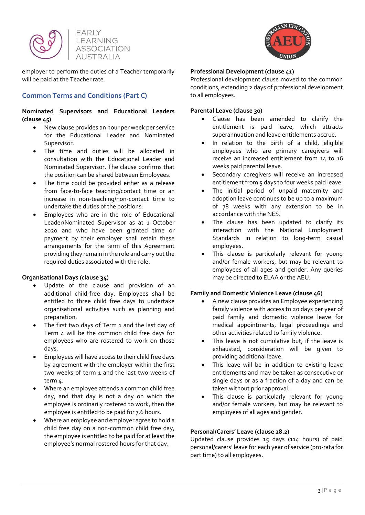



employer to perform the duties of a Teacher temporarily will be paid at the Teacher rate.

# **Common Terms and Conditions (Part C)**

## **Nominated Supervisors and Educational Leaders (clause 45)**

- New clause provides an hour per week per service for the Educational Leader and Nominated Supervisor.
- The time and duties will be allocated in consultation with the Educational Leader and Nominated Supervisor. The clause confirms that the position can be shared between Employees.
- The time could be provided either as a release from face-to-face teaching/contact time or an increase in non-teaching/non-contact time to undertake the duties of the positions.
- Employees who are in the role of Educational Leader/Nominated Supervisor as at 1 October 2020 and who have been granted time or payment by their employer shall retain these arrangements for the term of this Agreement providing they remain in the role and carry out the required duties associated with the role.

# **Organisational Days (clause 34)**

- Update of the clause and provision of an additional child-free day. Employees shall be entitled to three child free days to undertake organisational activities such as planning and preparation.
- The first two days of Term 1 and the last day of Term 4 will be the common child free days for employees who are rostered to work on those days.
- Employees will have access to their child free days by agreement with the employer within the first two weeks of term 1 and the last two weeks of term  $\Delta$ .
- Where an employee attends a common child free day, and that day is not a day on which the employee is ordinarily rostered to work, then the employee is entitled to be paid for 7.6 hours.
- Where an employee and employer agree to hold a child free day on a non-common child free day, the employee is entitled to be paid for at least the employee's normal rostered hours for that day.



## **Professional Development (clause 41)**

Professional development clause moved to the common conditions, extending 2 days of professional development to all employees.

# **Parental Leave (clause 30)**

- Clause has been amended to clarify the entitlement is paid leave, which attracts superannuation and leave entitlements accrue.
- In relation to the birth of a child, eligible employees who are primary caregivers will receive an increased entitlement from 14 to 16 weeks paid parental leave.
- Secondary caregivers will receive an increased entitlement from 5 days to four weeks paid leave.
- The initial period of unpaid maternity and adoption leave continues to be up to a maximum of 78 weeks with any extension to be in accordance with the NES.
- The clause has been updated to clarify its interaction with the National Employment Standards in relation to long-term casual employees.
- This clause is particularly relevant for young and/or female workers, but may be relevant to employees of all ages and gender. Any queries may be directed to ELAA or the AEU.

# **Family and Domestic Violence Leave (clause 46)**

- A new clause provides an Employee experiencing family violence with access to 20 days per year of paid family and domestic violence leave for medical appointments, legal proceedings and other activities related to family violence.
- This leave is not cumulative but, if the leave is exhausted, consideration will be given to providing additional leave.
- This leave will be in addition to existing leave entitlements and may be taken as consecutive or single days or as a fraction of a day and can be taken without prior approval.
- This clause is particularly relevant for young and/or female workers, but may be relevant to employees of all ages and gender.

# **Personal/Carers' Leave (clause 28.2)**

Updated clause provides 15 days (114 hours) of paid personal/carers' leave for each year of service (pro-rata for part time) to all employees.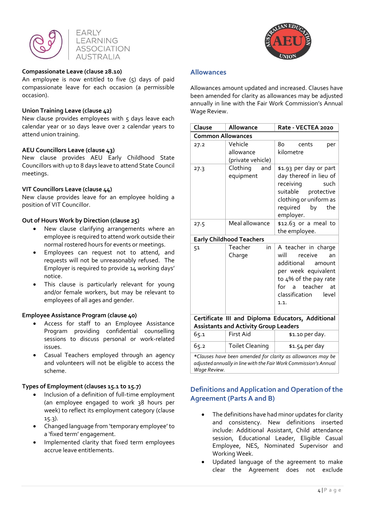



#### **Compassionate Leave (clause 28.10)**

An employee is now entitled to five  $(5)$  days of paid compassionate leave for each occasion (a permissible occasion).

#### **Union Training Leave (clause 42)**

New clause provides employees with  $5$  days leave each calendar year or 10 days leave over 2 calendar years to attend union training.

#### **AEU Councillors Leave (clause 43)**

New clause provides AEU Early Childhood State Councillors with up to 8 days leave to attend State Council meetings.

#### **VIT Councillors Leave (clause 44)**

New clause provides leave for an employee holding a position of VIT Councillor.

#### **Out of Hours Work by Direction (clause 25)**

- New clause clarifying arrangements where an employee is required to attend work outside their normal rostered hours for events or meetings.
- Employees can request not to attend, and requests will not be unreasonably refused. The Employer is required to provide 14 working days' notice.
- This clause is particularly relevant for young and/or female workers, but may be relevant to employees of all ages and gender.

#### **Employee Assistance Program (clause 40)**

- Access for staff to an Employee Assistance Program providing confidential counselling sessions to discuss personal or work-related issues.
- Casual Teachers employed through an agency and volunteers will not be eligible to access the scheme.

#### **Types of Employment (clauses 15.1 to 15.7)**

- Inclusion of a definition of full-time employment (an employee engaged to work 38 hours per week) to reflect its employment category (clause 15.3).
- Changed language from 'temporary employee' to a 'fixed term' engagement.
- Implemented clarity that fixed term employees accrue leave entitlements.



#### **Allowances**

*Wage Review.*

Allowances amount updated and increased. Clauses have been amended for clarity as allowances may be adjusted annually in line with the Fair Work Commission's Annual Wage Review.

| Clause                                                                                                                          | Allowance                                 | Rate - VECTEA 2020                                                                                                                                                                |
|---------------------------------------------------------------------------------------------------------------------------------|-------------------------------------------|-----------------------------------------------------------------------------------------------------------------------------------------------------------------------------------|
| <b>Common Allowances</b>                                                                                                        |                                           |                                                                                                                                                                                   |
| 27.2                                                                                                                            | Vehicle<br>allowance<br>(private vehicle) | 80<br>cents<br>per<br>kilometre                                                                                                                                                   |
| 27.3                                                                                                                            | Clothing<br>and<br>equipment              | \$1.93 per day or part<br>day thereof in lieu of<br>receiving<br>such<br>suitable protective<br>clothing or uniform as<br>required by<br>the<br>employer.                         |
| 27.5                                                                                                                            | Meal allowance                            | \$12.63 or a meal to<br>the employee.                                                                                                                                             |
|                                                                                                                                 | <b>Early Childhood Teachers</b>           |                                                                                                                                                                                   |
| 51                                                                                                                              | Teacher<br>in<br>Charge                   | A teacher in charge<br>will<br>receive<br>an<br>additional<br>amount<br>per week equivalent<br>to 4% of the pay rate<br>teacher<br>for<br>at<br>a<br>classification level<br>1.1. |
| Certificate III and Diploma Educators, Additional                                                                               |                                           |                                                                                                                                                                                   |
| <b>Assistants and Activity Group Leaders</b>                                                                                    |                                           |                                                                                                                                                                                   |
| 65.1                                                                                                                            | <b>First Aid</b>                          | \$1.10 per day.                                                                                                                                                                   |
| 65.2                                                                                                                            | <b>Toilet Cleaning</b>                    | \$1.54 per day                                                                                                                                                                    |
| *Clauses have been amended for clarity as allowances may be<br>adjusted annually in line with the Fair Work Commission's Annual |                                           |                                                                                                                                                                                   |

**Definitions and Application and Operation of the Agreement (Parts A and B)** 

- The definitions have had minor updates for clarity and consistency. New definitions inserted include: Additional Assistant, Child attendance session, Educational Leader, Eligible Casual Employee, NES, Nominated Supervisor and Working Week.
- Updated language of the agreement to make clear the Agreement does not exclude